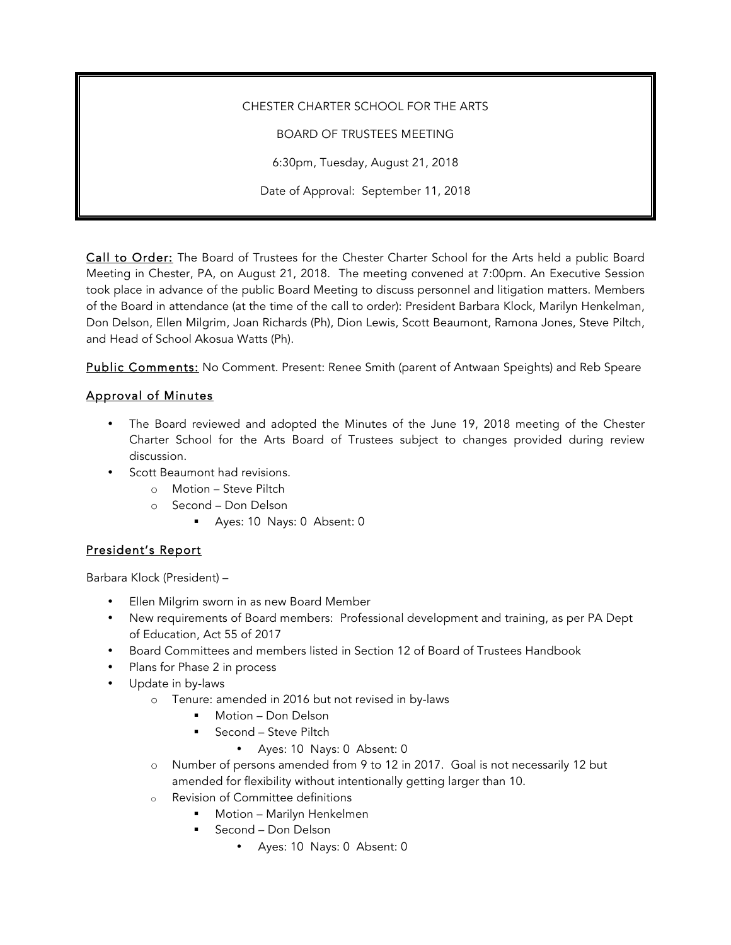CHESTER CHARTER SCHOOL FOR THE ARTS BOARD OF TRUSTEES MEETING 6:30pm, Tuesday, August 21, 2018 Date of Approval: September 11, 2018

Call to Order: The Board of Trustees for the Chester Charter School for the Arts held a public Board Meeting in Chester, PA, on August 21, 2018. The meeting convened at 7:00pm. An Executive Session took place in advance of the public Board Meeting to discuss personnel and litigation matters. Members of the Board in attendance (at the time of the call to order): President Barbara Klock, Marilyn Henkelman, Don Delson, Ellen Milgrim, Joan Richards (Ph), Dion Lewis, Scott Beaumont, Ramona Jones, Steve Piltch, and Head of School Akosua Watts (Ph).

Public Comments: No Comment. Present: Renee Smith (parent of Antwaan Speights) and Reb Speare

## Approval of Minutes

- The Board reviewed and adopted the Minutes of the June 19, 2018 meeting of the Chester Charter School for the Arts Board of Trustees subject to changes provided during review discussion.
- Scott Beaumont had revisions.
	- o Motion Steve Piltch
	- o Second Don Delson
		- § Ayes: 10 Nays: 0 Absent: 0

# President's Report

Barbara Klock (President) –

- Ellen Milgrim sworn in as new Board Member
- New requirements of Board members: Professional development and training, as per PA Dept of Education, Act 55 of 2017
- Board Committees and members listed in Section 12 of Board of Trustees Handbook
- Plans for Phase 2 in process
- Update in by-laws
	- o Tenure: amended in 2016 but not revised in by-laws
		- § Motion Don Delson
		- § Second Steve Piltch
			- Ayes: 10 Nays: 0 Absent: 0
	- o Number of persons amended from 9 to 12 in 2017. Goal is not necessarily 12 but amended for flexibility without intentionally getting larger than 10.
	- o Revision of Committee definitions
		- § Motion Marilyn Henkelmen
		- § Second Don Delson
			- Ayes: 10 Nays: 0 Absent: 0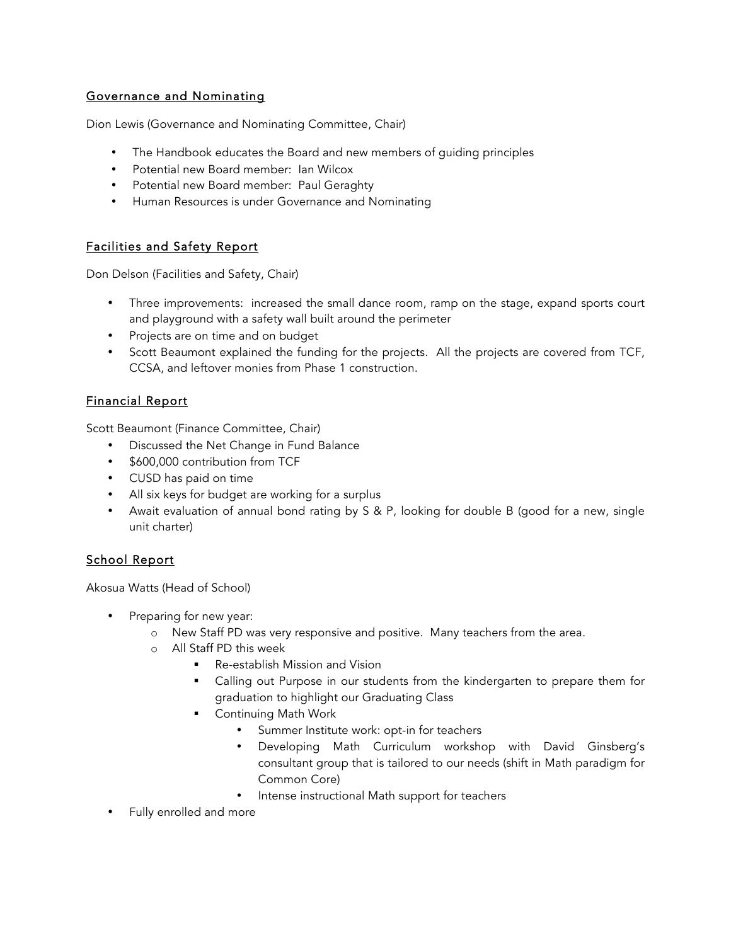## Governance and Nominating

Dion Lewis (Governance and Nominating Committee, Chair)

- The Handbook educates the Board and new members of guiding principles
- Potential new Board member: Ian Wilcox
- Potential new Board member: Paul Geraghty
- Human Resources is under Governance and Nominating

### Facilities and Safety Report

Don Delson (Facilities and Safety, Chair)

- Three improvements: increased the small dance room, ramp on the stage, expand sports court and playground with a safety wall built around the perimeter
- Projects are on time and on budget
- Scott Beaumont explained the funding for the projects. All the projects are covered from TCF, CCSA, and leftover monies from Phase 1 construction.

### Financial Report

Scott Beaumont (Finance Committee, Chair)

- Discussed the Net Change in Fund Balance
- \$600,000 contribution from TCF
- CUSD has paid on time
- All six keys for budget are working for a surplus
- Await evaluation of annual bond rating by S & P, looking for double B (good for a new, single unit charter)

### School Report

Akosua Watts (Head of School)

- Preparing for new year:
	- o New Staff PD was very responsive and positive. Many teachers from the area.
	- o All Staff PD this week
		- § Re-establish Mission and Vision
			- Calling out Purpose in our students from the kindergarten to prepare them for graduation to highlight our Graduating Class
		- Continuing Math Work
			- Summer Institute work: opt-in for teachers
			- Developing Math Curriculum workshop with David Ginsberg's consultant group that is tailored to our needs (shift in Math paradigm for Common Core)
			- Intense instructional Math support for teachers
- Fully enrolled and more